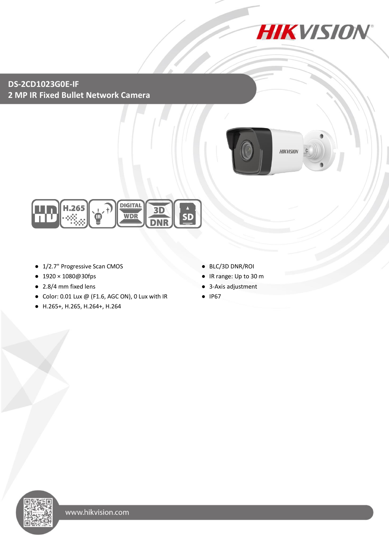

### **DS-2CD1023G0E-IF 2 MP IR Fixed Bullet Network Camera**





- 1/2.7" Progressive Scan CMOS
- 1920×1080@30fps
- 2.8/4 mm fixed lens
- Color: 0.01 Lux @ (F1.6, AGC ON), 0 Lux with IR
- H.265+, H.265, H.264+, H.264
- BLC/3D DNR/ROI
- IR range: Up to 30 m
- 3-Axis adjustment
- IP67

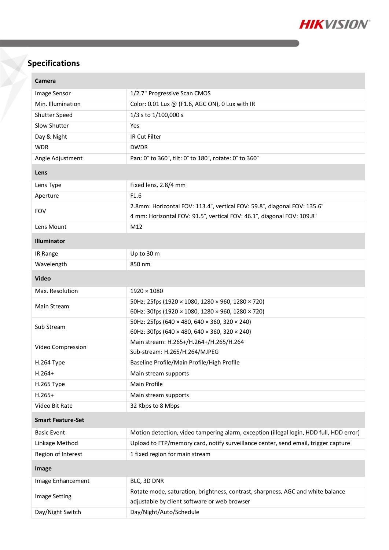

# **Specifications**

| Camera                   |                                                                                         |  |
|--------------------------|-----------------------------------------------------------------------------------------|--|
| Image Sensor             | 1/2.7" Progressive Scan CMOS                                                            |  |
| Min. Illumination        | Color: 0.01 Lux @ (F1.6, AGC ON), 0 Lux with IR                                         |  |
| Shutter Speed            | 1/3 s to 1/100,000 s                                                                    |  |
| Slow Shutter             | Yes                                                                                     |  |
| Day & Night              | IR Cut Filter                                                                           |  |
| <b>WDR</b>               | <b>DWDR</b>                                                                             |  |
| Angle Adjustment         | Pan: 0° to 360°, tilt: 0° to 180°, rotate: 0° to 360°                                   |  |
| Lens                     |                                                                                         |  |
| Lens Type                | Fixed lens, 2.8/4 mm                                                                    |  |
| Aperture                 | F1.6                                                                                    |  |
| <b>FOV</b>               | 2.8mm: Horizontal FOV: 113.4°, vertical FOV: 59.8°, diagonal FOV: 135.6°                |  |
|                          | 4 mm: Horizontal FOV: 91.5°, vertical FOV: 46.1°, diagonal FOV: 109.8°                  |  |
| Lens Mount               | M12                                                                                     |  |
| <b>Illuminator</b>       |                                                                                         |  |
| IR Range                 | Up to 30 m                                                                              |  |
| Wavelength               | 850 nm                                                                                  |  |
| <b>Video</b>             |                                                                                         |  |
| Max. Resolution          | $1920 \times 1080$                                                                      |  |
| Main Stream              | 50Hz: 25fps (1920 × 1080, 1280 × 960, 1280 × 720)                                       |  |
|                          | 60Hz: 30fps (1920 × 1080, 1280 × 960, 1280 × 720)                                       |  |
| Sub Stream               | 50Hz: 25fps (640 × 480, 640 × 360, 320 × 240)                                           |  |
|                          | 60Hz: 30fps (640 × 480, 640 × 360, 320 × 240)                                           |  |
| Video Compression        | Main stream: H.265+/H.264+/H.265/H.264                                                  |  |
|                          | Sub-stream: H.265/H.264/MJPEG                                                           |  |
| H.264 Type<br>H.264+     | Baseline Profile/Main Profile/High Profile                                              |  |
| H.265 Type               | Main stream supports<br>Main Profile                                                    |  |
| $H.265+$                 | Main stream supports                                                                    |  |
| Video Bit Rate           | 32 Kbps to 8 Mbps                                                                       |  |
| <b>Smart Feature-Set</b> |                                                                                         |  |
|                          |                                                                                         |  |
| <b>Basic Event</b>       | Motion detection, video tampering alarm, exception (illegal login, HDD full, HDD error) |  |
| Linkage Method           | Upload to FTP/memory card, notify surveillance center, send email, trigger capture      |  |
| Region of Interest       | 1 fixed region for main stream                                                          |  |
| Image                    |                                                                                         |  |
| Image Enhancement        | BLC, 3D DNR                                                                             |  |
| <b>Image Setting</b>     | Rotate mode, saturation, brightness, contrast, sharpness, AGC and white balance         |  |
|                          | adjustable by client software or web browser                                            |  |
| Day/Night Switch         | Day/Night/Auto/Schedule                                                                 |  |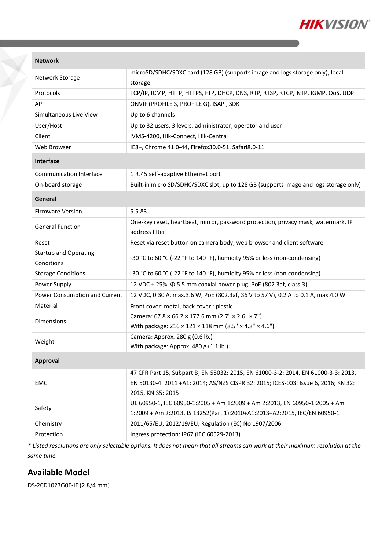

#### **Network**

| Network Storage                   | microSD/SDHC/SDXC card (128 GB) (supports image and logs storage only), local         |
|-----------------------------------|---------------------------------------------------------------------------------------|
|                                   | storage                                                                               |
| Protocols                         | TCP/IP, ICMP, HTTP, HTTPS, FTP, DHCP, DNS, RTP, RTSP, RTCP, NTP, IGMP, QoS, UDP       |
| API                               | ONVIF (PROFILE S, PROFILE G), ISAPI, SDK                                              |
| Simultaneous Live View            | Up to 6 channels                                                                      |
| User/Host                         | Up to 32 users, 3 levels: administrator, operator and user                            |
| Client                            | iVMS-4200, Hik-Connect, Hik-Central                                                   |
| Web Browser                       | IE8+, Chrome 41.0-44, Firefox30.0-51, Safari8.0-11                                    |
| Interface                         |                                                                                       |
| Communication Interface           | 1 RJ45 self-adaptive Ethernet port                                                    |
| On-board storage                  | Built-in micro SD/SDHC/SDXC slot, up to 128 GB (supports image and logs storage only) |
| General                           |                                                                                       |
| 5.5.83<br><b>Firmware Version</b> |                                                                                       |
| <b>General Function</b>           | One-key reset, heartbeat, mirror, password protection, privacy mask, watermark, IP    |
|                                   | address filter                                                                        |
| Reset                             | Reset via reset button on camera body, web browser and client software                |
| <b>Startup and Operating</b>      | -30 °C to 60 °C (-22 °F to 140 °F), humidity 95% or less (non-condensing)             |
| Conditions                        |                                                                                       |
| <b>Storage Conditions</b>         | -30 °C to 60 °C (-22 °F to 140 °F), humidity 95% or less (non-condensing)             |
| Power Supply                      | 12 VDC ± 25%, $\Phi$ 5.5 mm coaxial power plug; PoE (802.3af, class 3)                |
| Power Consumption and Current     | 12 VDC, 0.30 A, max.3.6 W; PoE (802.3af, 36 V to 57 V), 0.2 A to 0.1 A, max.4.0 W     |
| Material                          | Front cover: metal, back cover : plastic                                              |
| <b>Dimensions</b>                 | Camera: $67.8 \times 66.2 \times 177.6$ mm (2.7" $\times$ 2.6" $\times$ 7")           |
|                                   | With package: $216 \times 121 \times 118$ mm (8.5" × 4.8" × 4.6")                     |
| Weight                            | Camera: Approx. 280 g (0.6 lb.)                                                       |
|                                   | With package: Approx. 480 g (1.1 lb.)                                                 |
| <b>Approval</b>                   |                                                                                       |
|                                   | 47 CFR Part 15, Subpart B; EN 55032: 2015, EN 61000-3-2: 2014, EN 61000-3-3: 2013,    |
| EMC                               | EN 50130-4: 2011 +A1: 2014; AS/NZS CISPR 32: 2015; ICES-003: Issue 6, 2016; KN 32:    |
|                                   | 2015, KN 35: 2015                                                                     |
| Safety                            | UL 60950-1, IEC 60950-1:2005 + Am 1:2009 + Am 2:2013, EN 60950-1:2005 + Am            |
|                                   | 1:2009 + Am 2:2013, IS 13252(Part 1):2010+A1:2013+A2:2015, IEC/EN 60950-1             |
| Chemistry                         | 2011/65/EU, 2012/19/EU, Regulation (EC) No 1907/2006                                  |
| Protection                        | Ingress protection: IP67 (IEC 60529-2013)                                             |

*\* Listed resolutions are only selectable options. It does not mean that all streams can work at their maximum resolution at the same time.*

### **Available Model**

DS-2CD1023G0E-IF (2.8/4 mm)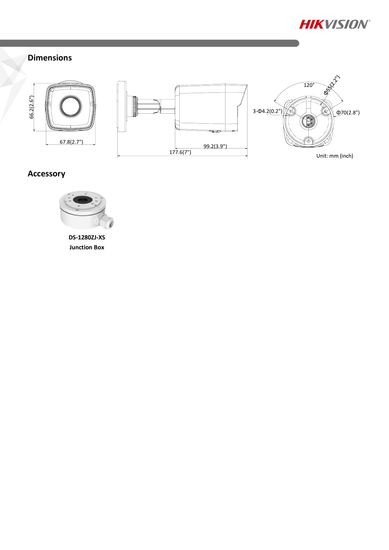

# **Dimensions**





# **Accessory**



**DS-1280ZJ-XS Junction Box**